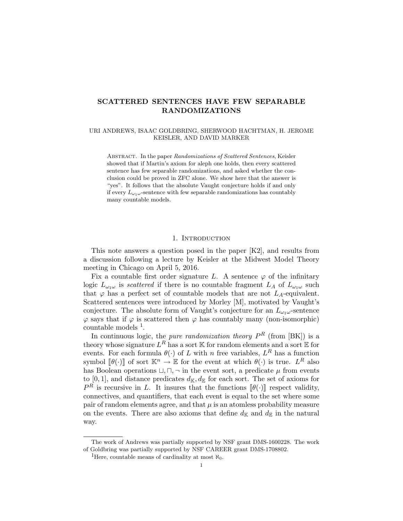# SCATTERED SENTENCES HAVE FEW SEPARABLE RANDOMIZATIONS

### URI ANDREWS, ISAAC GOLDBRING, SHERWOOD HACHTMAN, H. JEROME KEISLER, AND DAVID MARKER

ABSTRACT. In the paper Randomizations of Scattered Sentences, Keisler showed that if Martin's axiom for aleph one holds, then every scattered sentence has few separable randomizations, and asked whether the conclusion could be proved in ZFC alone. We show here that the answer is "yes". It follows that the absolute Vaught conjecture holds if and only if every  $L_{\omega_1\omega}$ -sentence with few separable randomizations has countably many countable models.

## 1. INTRODUCTION

This note answers a question posed in the paper [K2], and results from a discussion following a lecture by Keisler at the Midwest Model Theory meeting in Chicago on April 5, 2016.

Fix a countable first order signature L. A sentence  $\varphi$  of the infinitary logic  $L_{\omega_1\omega}$  is *scattered* if there is no countable fragment  $L_A$  of  $L_{\omega_1\omega}$  such that  $\varphi$  has a perfect set of countable models that are not  $L_A$ -equivalent. Scattered sentences were introduced by Morley [M], motivated by Vaught's conjecture. The absolute form of Vaught's conjecture for an  $L_{\omega_1\omega}$ -sentence  $\varphi$  says that if  $\varphi$  is scattered then  $\varphi$  has countably many (non-isomorphic) countable models <sup>1</sup>.

In continuous logic, the *pure randomization theory*  $P<sup>R</sup>$  (from [BK]) is a theory whose signature  $L^R$  has a sort K for random elements and a sort E for events. For each formula  $\theta(\cdot)$  of L with n free variables,  $L^R$  has a function symbol  $[\![\theta(\cdot)]\!]$  of sort  $\mathbb{K}^n \to \mathbb{E}$  for the event at which  $\theta(\cdot)$  is true.  $L^R$  also<br>has Boolean operations  $\Box \Box \Box$  in the event sect, a predicate  $\mu$  from events has Boolean operations  $\sqcup$ ,  $\sqcap$ ,  $\neg$  in the event sort, a predicate  $\mu$  from events to [0, 1], and distance predicates  $d_{\mathbb{K}}, d_{\mathbb{E}}$  for each sort. The set of axioms for  $P^R$  is recursive in L. It insures that the functions  $[\![\theta(\cdot)]\!]$  respect validity, connectives, and quantifiers, that each event is equal to the set where some pair of random elements agree, and that  $\mu$  is an atomless probability measure on the events. There are also axioms that define  $d_{\mathbb{K}}$  and  $d_{\mathbb{E}}$  in the natural way.

The work of Andrews was partially supported by NSF grant DMS-1600228. The work of Goldbring was partially supported by NSF CAREER grant DMS-1708802.

<sup>&</sup>lt;sup>1</sup>Here, countable means of cardinality at most  $\aleph_0$ .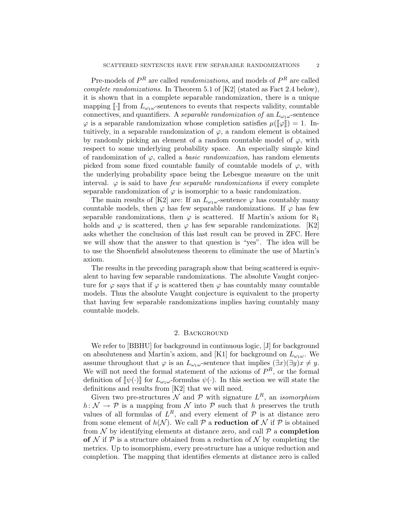Pre-models of  $P^R$  are called *randomizations*, and models of  $P^R$  are called complete randomizations. In Theorem 5.1 of [K2] (stated as Fact 2.4 below), it is shown that in a complete separable randomization, there is a unique mapping  $\lVert \cdot \rVert$  from  $L_{\omega_1\omega}$ -sentences to events that respects validity, countable connectives, and quantifiers. A separable randomization of an  $L_{\omega_1\omega}$ -sentence  $\varphi$  is a separable randomization whose completion satisfies  $\mu(\llbracket \varphi \rrbracket) = 1$ . Intuitively, in a separable randomization of  $\varphi$ , a random element is obtained by randomly picking an element of a random countable model of  $\varphi$ , with respect to some underlying probability space. An especially simple kind of randomization of  $\varphi$ , called a *basic randomization*, has random elements picked from some fixed countable family of countable models of  $\varphi$ , with the underlying probability space being the Lebesgue measure on the unit interval.  $\varphi$  is said to have *few separable randomizations* if every complete separable randomization of  $\varphi$  is isomorphic to a basic randomization.

The main results of [K2] are: If an  $L_{\omega_1\omega}$ -sentence  $\varphi$  has countably many countable models, then  $\varphi$  has few separable randomizations. If  $\varphi$  has few separable randomizations, then  $\varphi$  is scattered. If Martin's axiom for  $\aleph_1$ holds and  $\varphi$  is scattered, then  $\varphi$  has few separable randomizations. [K2] asks whether the conclusion of this last result can be proved in ZFC. Here we will show that the answer to that question is "yes". The idea will be to use the Shoenfield absoluteness theorem to eliminate the use of Martin's axiom.

The results in the preceding paragraph show that being scattered is equivalent to having few separable randomizations. The absolute Vaught conjecture for  $\varphi$  says that if  $\varphi$  is scattered then  $\varphi$  has countably many countable models. Thus the absolute Vaught conjecture is equivalent to the property that having few separable randomizations implies having countably many countable models.

### 2. Background

We refer to [BBHU] for background in continuous logic, [J] for background on absoluteness and Martin's axiom, and [K1] for background on  $L_{\omega_1\omega}$ . We assume throughout that  $\varphi$  is an  $L_{\omega_1\omega}$ -sentence that implies  $(\exists x)(\exists y)x \neq y$ . We will not need the formal statement of the axioms of  $P<sup>R</sup>$ , or the formal definition of  $[\![\psi(\cdot)]\!]$  for  $L_{\omega_1\omega}$ -formulas  $\psi(\cdot)$ . In this section we will state the definitions and results from [K2] that we will need.

Given two pre-structures N and P with signature  $L^R$ , an *isomorphism*  $h: \mathcal{N} \to \mathcal{P}$  is a mapping from  $\mathcal N$  into  $\mathcal P$  such that h preserves the truth values of all formulas of  $L^R$ , and every element of  $P$  is at distance zero from some element of  $h(\mathcal{N})$ . We call  $\mathcal P$  a **reduction of**  $\mathcal N$  if  $\mathcal P$  is obtained from  $\mathcal N$  by identifying elements at distance zero, and call  $\mathcal P$  a **completion** of  $\mathcal N$  if  $\mathcal P$  is a structure obtained from a reduction of  $\mathcal N$  by completing the metrics. Up to isomorphism, every pre-structure has a unique reduction and completion. The mapping that identifies elements at distance zero is called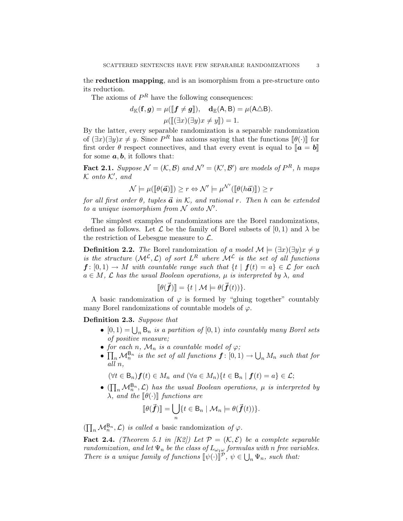the reduction mapping, and is an isomorphism from a pre-structure onto its reduction.

The axioms of  $P<sup>R</sup>$  have the following consequences:

$$
d_{\mathbb{K}}(\mathbf{f}, \mathbf{g}) = \mu([\![\mathbf{f} \neq \mathbf{g}]\!]), \quad \mathbf{d}_{\mathbb{E}}(\mathsf{A}, \mathsf{B}) = \mu(\mathsf{A} \triangle \mathsf{B}).
$$

$$
\mu([\![\exists x)(\exists y)x \neq y]\!]) = 1.
$$

 $\mu([\exists x)(\exists y)x \neq y]) = 1.$ <br>By the latter, every separable randomization is a separable randomization of  $(\exists x)(\exists y)x \neq y$ . Since  $P^R$  has axioms saying that the functions  $[\![\theta(\cdot)]\!]$  for first order  $\theta$  respect connectives, and that every event is equal to  $\llbracket a - b \rrbracket$ first order  $\theta$  respect connectives, and that every event is equal to  $\mathbf{a} = \mathbf{b}$ for some  $a, b$ , it follows that:

**Fact 2.1.** Suppose  $\mathcal{N} = (\mathcal{K}, \mathcal{B})$  and  $\mathcal{N}' = (\mathcal{K}', \mathcal{B}')$  are models of  $P^R$ , h maps  $K$  onto  $K'$ , and

$$
\mathcal{N} \models \mu([\![\theta(\vec{a})]\!]) \ge r \Leftrightarrow \mathcal{N}' \models \mu^{\mathcal{N}'}([\![\theta(h\vec{a})]\!]) \ge r
$$

for all first order  $\theta$ , tuples  $\vec{a}$  in K, and rational r. Then h can be extended to a unique isomorphism from  $N$  onto  $N'$ .

The simplest examples of randomizations are the Borel randomizations, defined as follows. Let  $\mathcal L$  be the family of Borel subsets of  $[0,1)$  and  $\lambda$  be the restriction of Lebesgue measure to  $\mathcal{L}$ .

**Definition 2.2.** The Borel randomization of a model  $\mathcal{M} \models (\exists x)(\exists y)x \neq y$ is the structure  $(M^{\mathcal{L}}, \mathcal{L})$  of sort  $L^R$  where  $\mathcal{M}^{\mathcal{L}}$  is the set of all functions  $f: [0,1] \to M$  with countable range such that  $\{t \mid f(t) = a\} \in \mathcal{L}$  for each  $a \in M$ ,  $\mathcal L$  has the usual Boolean operations,  $\mu$  is interpreted by  $\lambda$ , and

$$
[\![\theta(\vec{\bm{f}})]\!] = \{t \mid \mathcal{M} \models \theta(\vec{\bm{f}}(t))\}.
$$

A basic randomization of  $\varphi$  is formed by "gluing together" countably many Borel randomizations of countable models of  $\varphi$ .

Definition 2.3. Suppose that

- $[0, 1) = \bigcup_n B_n$  is a partition of  $[0, 1)$  into countably many Borel sets of positive measure;
- for each n,  $\mathcal{M}_n$  is a countable model of  $\varphi$ ;
- $\prod_n \mathcal{M}_n^{\mathsf{B}_n}$  is the set of all functions  $\boldsymbol{f} : [0,1) \to \bigcup_n M_n$  such that for all n,

 $(\forall t \in \mathsf{B}_n)$   $f(t) \in M_n$  and  $(\forall a \in M_n)$  { $t \in \mathsf{B}_n | f(t) = a$ }  $\in \mathcal{L}$ ;

•  $(\prod_n \mathcal{M}_n^{\mathsf{B}_n}, \mathcal{L})$  has the usual Boolean operations,  $\mu$  is interpreted by  $\lambda$ , and the  $\llbracket \theta(\cdot) \rrbracket$  functions are

$$
[\![\theta(\vec{f})]\!] = \bigcup_n \{t \in \mathsf{B}_n \mid \mathcal{M}_n \models \theta(\vec{f}(t))\}.
$$

 $(\prod_n \mathcal{M}_n^{\mathsf{B}_n}, \mathcal{L})$  is called a basic randomization of  $\varphi$ .

**Fact 2.4.** (Theorem 5.1 in [K2]) Let  $\mathcal{P} = (\mathcal{K}, \mathcal{E})$  be a complete separable randomization, and let  $\Psi_n$  be the class of  $L_{\omega_1\omega}$  formulas with n free variables. There is a unique family of functions  $[\![\psi(\cdot)]\!]^{\mathcal{P}}, \psi \in \bigcup_n \Psi_n$ , such that: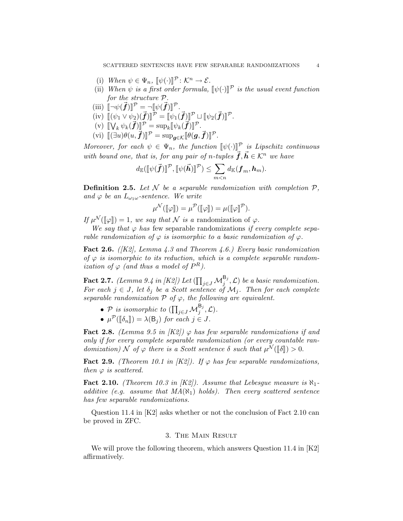- (i) When  $\psi \in \Psi_n$ ,  $[\psi(\cdot)]^{\mathcal{P}} : \mathcal{K}^n \to \mathcal{E}$ .<br>
(ii) When  $\psi$  is a first order formula
- (ii) When  $\psi$  is a first order formula,  $[\![\psi(\cdot)]\!]^{\mathcal{P}}$  is the usual event function<br>for the structure  $\mathcal{P}$ for the structure P.
- (iii)  $[\neg \psi(\vec{f})]^{P} = \neg [\psi(\vec{f})]^{P}$ .<br>(iii)  $[\psi(\vec{f})]^{P} = \psi(\vec{f})^{P}$ .
- (iv)  $[(\psi_1 \vee \psi_2)(\vec{f})]^{\mathcal{P}} = [\psi_1(\vec{f})]^{\mathcal{P}} \sqcup [\psi_2(\vec{f})]^{\mathcal{P}}.$
- (v)  $[\![\bigvee_k \psi_k(\vec{f})]\!]^{\mathcal{P}} = \sup_k [\![\psi_k(\vec{f})]\!]^{\mathcal{P}}.$
- (vi)  $[(\exists u)\theta(u,\vec{f})]^{\mathcal{P}} = \sup_{\bm{g}\in\mathcal{K}}[\![\theta(\bm{g},\vec{f})]\!]^{\mathcal{P}}$ .

Moreover, for each  $\psi \in \Psi_n$ , the function  $[\![\psi(\cdot)]\!]^p$  is Lipschitz continuous with bound one, that is, for any pair of n-tuples  $\vec{f}, \vec{h} \in \mathcal{K}^n$  we have

$$
d_{\mathbb{E}}(\llbracket \psi(\vec{\bm{f}}) \rrbracket^{\mathcal{P}}, \llbracket \psi(\vec{\bm{h}}) \rrbracket^{\mathcal{P}}) \leq \sum_{m < n} d_{\mathbb{K}}(\bm{f}_m, \bm{h}_m).
$$

**Definition 2.5.** Let  $\mathcal N$  be a separable randomization with completion  $\mathcal P$ , and  $\varphi$  be an  $L_{\omega_1\omega}$ -sentence. We write

$$
\mu^{\mathcal{N}}(\llbracket \varphi \rrbracket) = \mu^{\mathcal{P}}(\llbracket \varphi \rrbracket) = \mu(\llbracket \varphi \rrbracket^{\mathcal{P}}).
$$

If  $\mu^{\mathcal{N}}([\![\varphi]\!]) = 1$ , we say that N is a randomization of  $\varphi$ .<br>We say that  $\varphi$  has four soperable randomizations if ex-

We say that  $\varphi$  has few separable randomizations if every complete separable randomization of  $\varphi$  is isomorphic to a basic randomization of  $\varphi$ .

**Fact 2.6.** ( $|K2|$ , Lemma 4.3 and Theorem 4.6.) Every basic randomization of  $\varphi$  is isomorphic to its reduction, which is a complete separable randomization of  $\varphi$  (and thus a model of  $P^R$ ).

**Fact 2.7.** (Lemma 9.4 in [K2]) Let  $(\prod_{j\in J}\mathcal{M}_j^{\mathsf{B}_j}, \mathcal{L})$  be a basic randomization. For each  $j \in J$ , let  $\delta_j$  be a Scott sentence of  $\mathcal{M}_j$ . Then for each complete separable randomization  $P$  of  $\varphi$ , the following are equivalent.

- P is isomorphic to  $(\prod_{j\in J} {\mathcal M}_j^{\mathsf{B}_j}, {\mathcal{L}}).$
- $\mu^{\mathcal{P}}(\llbracket \delta_n \rrbracket) = \lambda(\mathsf{B}_j)$  for each  $j \in J$ .

**Fact 2.8.** (Lemma 9.5 in  $[K2]$ )  $\varphi$  has few separable randomizations if and only if for every complete separable randomization (or every countable randomization) N of  $\varphi$  there is a Scott sentence  $\delta$  such that  $\mu^{\mathcal{N}}([\![\delta]\!]) > 0$ .

Fact 2.9. (Theorem 10.1 in  $|K2\rangle$ ). If  $\varphi$  has few separable randomizations, then  $\varphi$  is scattered.

**Fact 2.10.** (Theorem 10.3 in [K2]). Assume that Lebesgue measure is  $\aleph_1$ additive (e.g. assume that  $MA(\aleph_1)$  holds). Then every scattered sentence has few separable randomizations.

Question 11.4 in [K2] asks whether or not the conclusion of Fact 2.10 can be proved in ZFC.

#### 3. The Main Result

We will prove the following theorem, which answers Question 11.4 in [K2] affirmatively.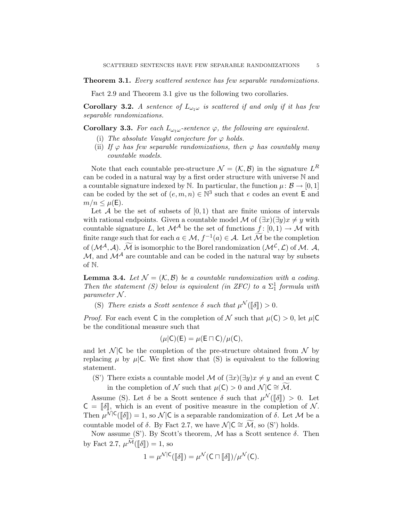Theorem 3.1. Every scattered sentence has few separable randomizations.

Fact 2.9 and Theorem 3.1 give us the following two corollaries.

**Corollary 3.2.** A sentence of  $L_{\omega_1\omega}$  is scattered if and only if it has few separable randomizations.

**Corollary 3.3.** For each  $L_{\omega_1\omega}$ -sentence  $\varphi$ , the following are equivalent.

- (i) The absolute Vaught conjecture for  $\varphi$  holds.
- (ii) If  $\varphi$  has few separable randomizations, then  $\varphi$  has countably many countable models.

Note that each countable pre-structure  $\mathcal{N} = (\mathcal{K}, \mathcal{B})$  in the signature  $L^R$ can be coded in a natural way by a first order structure with universe N and a countable signature indexed by N. In particular, the function  $\mu: \mathcal{B} \to [0, 1]$ can be coded by the set of  $(e, m, n) \in \mathbb{N}^3$  such that e codes an event E and  $m/n \leq \mu(E)$ .

Let  $A$  be the set of subsets of  $[0, 1)$  that are finite unions of intervals with rational endpoints. Given a countable model M of  $(\exists x)(\exists y)x \neq y$  with countable signature L, let  $\mathcal{M}^{\mathcal{A}}$  be the set of functions  $f : [0, 1) \to \mathcal{M}$  with finite range such that for each  $a \in \mathcal{M}$ ,  $f^{-1}(a) \in \mathcal{A}$ . Let  $\widetilde{\mathcal{M}}$  be the completion of  $(\mathcal{M}^{\mathcal{A}}, \mathcal{A})$ .  $\widetilde{\mathcal{M}}$  is isomorphic to the Borel randomization  $(\mathcal{M}^{\mathcal{L}}, \mathcal{L})$  of  $\mathcal{M}$ .  $\mathcal{A}$ ,  $\mathcal{M}$ , and  $\mathcal{M}^{\mathcal{A}}$  are countable and can be coded in the natural way by subsets of N.

**Lemma 3.4.** Let  $\mathcal{N} = (\mathcal{K}, \mathcal{B})$  be a countable randomization with a coding. Then the statement (S) below is equivalent (in ZFC) to a  $\Sigma^1_1$  formula with parameter N .

(S) There exists a Scott sentence  $\delta$  such that  $\mu^{\mathcal{N}}([\![\delta]\!]) > 0$ .

*Proof.* For each event C in the completion of N such that  $\mu(C) > 0$ , let  $\mu(C)$ be the conditional measure such that

$$
(\mu|C)(E) = \mu(E \sqcap C)/\mu(C),
$$

and let  $\mathcal{N}$  |C be the completion of the pre-structure obtained from  $\mathcal{N}$  by replacing  $\mu$  by  $\mu$  C. We first show that (S) is equivalent to the following statement.

- (S') There exists a countable model M of  $(\exists x)(\exists y)x \neq y$  and an event C
	- in the completion of N such that  $\mu(\mathsf{C}) > 0$  and  $\mathcal{N} | \mathsf{C} \cong \widetilde{\mathcal{M}}$ .

Assume (S). Let  $\delta$  be a Scott sentence  $\delta$  such that  $\mu^{\mathcal{N}}([\![\delta]\!]) > 0$ . Let  $-\llbracket \delta \rrbracket$  which is an overt of positive measure in the completion of  $\mathcal{N}$ .  $C = \lbrack \! \lbrack \delta \rbrack \! \rbrack$ , which is an event of positive measure in the completion of N. Then  $\mu^{\mathcal{N}|\mathsf{C}}([\![\delta]\!]) = 1$ , so  $\mathcal{N}|\mathsf{C}$  is a separable randomization of  $\delta$ . Let  $\mathcal{M}$  be a countable model of  $\delta$ . By Fact 2.7, we have  $\mathcal{N} \mid C \cong \widetilde{\mathcal{M}}$ , so (S') holds.

Now assume (S'). By Scott's theorem,  $M$  has a Scott sentence  $\delta$ . Then by Fact 2.7,  $\mu^{\widetilde{\mathcal{M}}}(\llbracket \delta \rrbracket) = 1$ , so

$$
1 = \mu^{\mathcal{N}|\mathsf{C}}([\![\delta]\!]) = \mu^{\mathcal{N}}(\mathsf{C} \sqcap [\![\delta]\!]) / \mu^{\mathcal{N}}(\mathsf{C}).
$$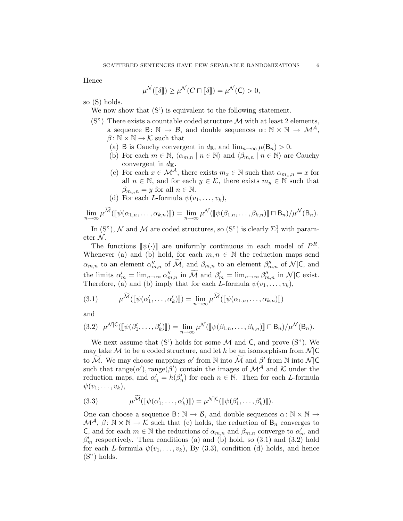Hence

$$
\mu^{\mathcal{N}}(\llbracket \delta \rrbracket) \ge \mu^{\mathcal{N}}(C \sqcap \llbracket \delta \rrbracket) = \mu^{\mathcal{N}}(C) > 0,
$$

so (S) holds.

We now show that  $(S')$  is equivalent to the following statement.

- $(S<sup>n</sup>)$  There exists a countable coded structure M with at least 2 elements, a sequence  $\mathsf{B}\colon\mathbb{N}\to\mathcal{B}$ , and double sequences  $\alpha\colon\mathbb{N}\times\mathbb{N}\to\mathcal{M}^{\mathcal{A}}$ ,  $\beta: \mathbb{N} \times \mathbb{N} \to \mathcal{K}$  such that
	- (a) B is Cauchy convergent in  $d_{\mathbb{E}}$ , and  $\lim_{n\to\infty}\mu(\mathsf{B}_n)>0$ .
	- (b) For each  $m \in \mathbb{N}$ ,  $\langle \alpha_{m,n} | n \in \mathbb{N} \rangle$  and  $\langle \beta_{m,n} | n \in \mathbb{N} \rangle$  are Cauchy convergent in  $d_{\mathbb{K}}$ .
	- (c) For each  $x \in \mathcal{M}^{\mathcal{A}}$ , there exists  $m_x \in \mathbb{N}$  such that  $\alpha_{m_x,n} = x$  for all  $n \in \mathbb{N}$ , and for each  $y \in \mathcal{K}$ , there exists  $m_y \in \mathbb{N}$  such that  $\beta_{m_y,n} = y$  for all  $n \in \mathbb{N}$ .
	- (d) For each L-formula  $\psi(v_1,\ldots,v_k)$ ,

$$
\lim_{n\to\infty}\mu^{\mathcal{M}}(\llbracket\psi(\alpha_{1,n},\ldots,\alpha_{k,n})\rrbracket)=\lim_{n\to\infty}\mu^{\mathcal{N}}(\llbracket\psi(\beta_{1,n},\ldots,\beta_{k,n})\rrbracket\sqcap\mathsf{B}_n)/\mu^{\mathcal{N}}(\mathsf{B}_n).
$$

In (S"),  $\mathcal N$  and  $\mathcal M$  are coded structures, so (S") is clearly  $\Sigma^1_1$  with parameter  $\mathcal{N}$ .

The functions  $[\![\psi(\cdot)]\!]$  are uniformly continuous in each model of  $P^R$ . Whenever (a) and (b) hold, for each  $m, n \in \mathbb{N}$  the reduction maps send  $\alpha_{m,n}$  to an element  $\alpha''_{m,n}$  of  $\widetilde{\mathcal{M}}$ , and  $\beta_{m,n}$  to an element  $\beta''_{m,n}$  of  $\mathcal{N}|\mathsf{C}$ , and the limits  $\alpha'_m = \lim_{n \to \infty} \alpha''_{m,n}$  in  $\widetilde{\mathcal{M}}$  and  $\beta'_m = \lim_{n \to \infty} \beta''_{m,n}$  in  $\mathcal{N}|\mathsf{C}$  exist. Therefore, (a) and (b) imply that for each L-formula  $\psi(v_1, \ldots, v_k)$ ,

$$
(3.1) \qquad \mu^{\mathcal{M}}(\llbracket \psi(\alpha'_1,\ldots,\alpha'_k)\rrbracket) = \lim_{n \to \infty} \mu^{\mathcal{M}}(\llbracket \psi(\alpha_{1,n},\ldots,\alpha_{k,n})\rrbracket)
$$

and

$$
(3.2) \ \ \mu^{\mathcal{N}|\mathsf{C}}(\llbracket \psi(\beta'_1,\ldots,\beta'_k)\rrbracket) = \lim_{n \to \infty} \mu^{\mathcal{N}}(\llbracket \psi(\beta_{1,n},\ldots,\beta_{k,n})\rrbracket \sqcap \mathsf{B}_n) / \mu^{\mathcal{N}}(\mathsf{B}_n).
$$

We next assume that  $(S')$  holds for some  $M$  and  $C$ , and prove  $(S'')$ . We may take M to be a coded structure, and let h be an isomorphism from  $\mathcal{N}|\mathsf{C}$ to  $\widetilde{\mathcal{M}}$ . We may choose mappings  $\alpha'$  from  $\mathbb N$  into  $\widetilde{\mathcal{M}}$  and  $\beta'$  from  $\mathbb N$  into  $\mathcal N$ |C such that  $\text{range}(\alpha')$ ,  $\text{range}(\beta')$  contain the images of  $\mathcal{M}^{\mathcal{A}}$  and K under the reduction maps, and  $\alpha'_n = h(\beta'_n)$  for each  $n \in \mathbb{N}$ . Then for each L-formula  $\psi(v_1,\ldots,v_k),$ 

(3.3) 
$$
\mu^{\widetilde{\mathcal{M}}}([\![\psi(\alpha'_1,\ldots,\alpha'_k)]\!]) = \mu^{\mathcal{N}|\mathsf{C}}([\![\psi(\beta'_1,\ldots,\beta'_k)]\!]).
$$

One can choose a sequence  $B: \mathbb{N} \to \mathcal{B}$ , and double sequences  $\alpha: \mathbb{N} \times \mathbb{N} \to$  $\mathcal{M}^{\mathcal{A}}, \beta \colon \mathbb{N} \times \mathbb{N} \to \mathcal{K}$  such that (c) holds, the reduction of  $B_n$  converges to C, and for each  $m \in \mathbb{N}$  the reductions of  $\alpha_{m,n}$  and  $\beta_{m,n}$  converge to  $\alpha'_m$  and  $\beta'_m$  respectively. Then conditions (a) and (b) hold, so (3.1) and (3.2) hold for each L-formula  $\psi(v_1, \ldots, v_k)$ , By (3.3), condition (d) holds, and hence (S") holds.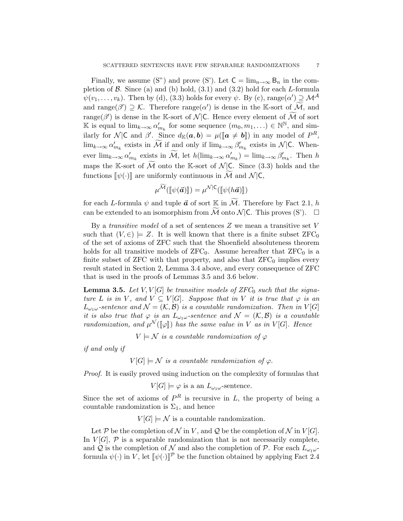Finally, we assume (S") and prove (S"). Let  $C = \lim_{n \to \infty} B_n$  in the completion of  $\beta$ . Since (a) and (b) hold, (3.1) and (3.2) hold for each L-formula  $\psi(v_1,\ldots,v_k)$ . Then by (d), (3.3) holds for every  $\psi$ . By (c), range $(\alpha') \supseteq \mathcal{M}^{\mathcal{A}}$ and range( $\beta'$ )  $\supseteq$  K. Therefore range( $\alpha'$ ) is dense in the K-sort of  $\widetilde{\mathcal{M}}$ , and range( $\beta'$ ) is dense in the K-sort of N|C. Hence every element of  $\widetilde{\mathcal{M}}$  of sort K is equal to  $\lim_{k\to\infty} \alpha'_{m_k}$  for some sequence  $(m_0, m_1, ...) \in \mathbb{N}^{\mathbb{N}}$ , and similarly for  $\mathcal{N}|\mathsf{C}$  and  $\beta'$ . Since  $d_{\mathbb{K}}(\boldsymbol{a},\boldsymbol{b}) = \mu([\boldsymbol{a} \neq \boldsymbol{b}])$  in any model of  $P^R$ ,  $\lim_{k\to\infty} \alpha'_{m_k}$  exists in  $\widetilde{\mathcal{M}}$  if and only if  $\lim_{k\to\infty} \beta'_{m_k}$  exists in  $\mathcal{N}|\mathsf{C}$ . Whenever  $\lim_{k\to\infty} \alpha'_{m_k}$  exists in  $\widetilde{\mathcal{M}}$ , let  $h(\lim_{k\to\infty} \alpha'_{m_k}) = \lim_{k\to\infty} \beta'_{m_k}$ . Then h maps the K-sort of  $\overline{\mathcal{M}}$  onto the K-sort of  $\mathcal{N}$  C. Since (3.3) holds and the functions  $\llbracket \psi(\cdot) \rrbracket$  are uniformly continuous in M and N |C,

$$
\mu^{\mathcal{M}}(\llbracket \psi(\vec{\bm{a}}) \rrbracket) = \mu^{\mathcal{N}|\mathsf{C}}(\llbracket \psi(h\vec{\bm{a}}) \rrbracket)
$$

for each L-formula  $\psi$  and tuple  $\vec{a}$  of sort  $\mathbb{K}$  in  $\widetilde{\mathcal{M}}$ . Therefore by Fact 2.1, h can be extended to an isomorphism from  $\widetilde{\mathcal{M}}$  onto  $\mathcal{N}$  |C. This proves (S').  $\Box$ 

By a *transitive model* of a set of sentences  $Z$  we mean a transitive set  $V$ such that  $(V, \in) \models Z$ . It is well known that there is a finite subset  $ZFC_0$ of the set of axioms of ZFC such that the Shoenfield absoluteness theorem holds for all transitive models of  $ZFC_0$ . Assume hereafter that  $ZFC_0$  is a finite subset of  $ZFC$  with that property, and also that  $ZFC<sub>0</sub>$  implies every result stated in Section 2, Lemma 3.4 above, and every consequence of ZFC that is used in the proofs of Lemmas 3.5 and 3.6 below.

**Lemma 3.5.** Let V,  $V[G]$  be transitive models of ZFC<sub>0</sub> such that the signature L is in V, and  $V \subseteq V[G]$ . Suppose that in V it is true that  $\varphi$  is an  $L_{\omega_1\omega}$ -sentence and  $\mathcal{N} = (\mathcal{K}, \mathcal{B})$  is a countable randomization. Then in  $V[G]$ it is also true that  $\varphi$  is an  $L_{\omega_1\omega}$ -sentence and  $\mathcal{N} = (\mathcal{K}, \mathcal{B})$  is a countable randomization, and  $\mu^{\mathcal{N}}(\llbracket \varphi \rrbracket)$  has the same value in V as in V[G]. Hence

 $V \models \mathcal{N}$  is a countable randomization of  $\varphi$ 

if and only if

 $V[G] \models \mathcal{N}$  is a countable randomization of  $\varphi$ .

Proof. It is easily proved using induction on the complexity of formulas that

$$
V[G] \models \varphi
$$
 is a an  $L_{\omega_1 \omega}$ -sentence.

Since the set of axioms of  $P^R$  is recursive in L, the property of being a countable randomization is  $\Sigma_1$ , and hence

 $V[G] \models \mathcal{N}$  is a countable randomization.

Let P be the completion of N in V, and Q be the completion of N in  $V[G]$ . In  $V[G], \mathcal{P}$  is a separable randomization that is not necessarily complete, and Q is the completion of N and also the completion of P. For each  $L_{\omega_1\omega}$ formula  $\psi(\cdot)$  in V, let  $[\![\psi(\cdot)]\!]^{\mathcal{P}}$  be the function obtained by applying Fact 2.4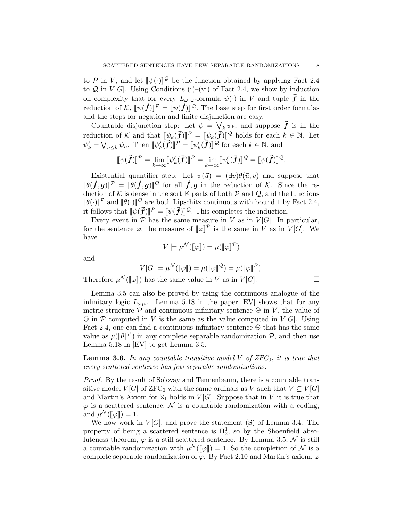to P in V, and let  $[\![\psi(\cdot)]\!]^{\mathcal{Q}}$  be the function obtained by applying Fact 2.4<br>to Q in  $V[C]$ . Heing Conditions (i) (vi) of Fact 2.4, we show by induction to  $Q$  in  $V[G]$ . Using Conditions (i)–(vi) of Fact 2.4, we show by induction on complexity that for every  $L_{\omega_1\omega}$ -formula  $\psi(\cdot)$  in V and tuple  $\vec{f}$  in the reduction of K,  $[\![\psi(\vec{f})]\!]^{\mathcal{P}} = [\![\psi(\vec{f})]\!]^{\mathcal{Q}}$ . The base step for first order formulas and the steps for negation and finite disjunction are easy.

Countable disjunction step: Let  $\psi = \bigvee_k \psi_k$ , and suppose  $\vec{f}$  is in the reduction of K and that  $[\![\psi_k(\vec{f})]\!]^{\mathcal{P}} = [\![\psi_k(\vec{f})]\!]^{\mathcal{Q}}$  holds for each  $k \in \mathbb{N}$ . Let  $\psi'_k = \bigvee_{n \leq k} \psi_n$ . Then  $[\![\psi'_k(\vec{f})]\!]^{\mathcal{P}} = [\![\psi'_k(\vec{f})]\!]^{\mathcal{Q}}$  for each  $k \in \mathbb{N}$ , and

$$
\llbracket \psi(\vec{\bm{f}}) \rrbracket^{\mathcal{P}} = \lim_{k \to \infty} \llbracket \psi'_k(\vec{\bm{f}}) \rrbracket^{\mathcal{P}} = \lim_{k \to \infty} \llbracket \psi'_k(\vec{\bm{f}}) \rrbracket^{\mathcal{Q}} = \llbracket \psi(\vec{\bm{f}}) \rrbracket^{\mathcal{Q}}.
$$

Existential quantifier step: Let  $\psi(\vec{u}) = (\exists v)\theta(\vec{u}, v)$  and suppose that  $[\![\theta(\vec{f}, g)]\!]^{\mathcal{P}} = [\![\theta(\vec{f}, g)]\!]^{\mathcal{Q}}$  for all  $\vec{f}, g$  in the reduction of K. Since the reduction of K is done in the sert K parts of both  $\mathcal{P}$  and  $\mathcal{Q}$  and the functions duction of K is dense in the sort K parts of both  $P$  and  $Q$ , and the functions  $[\![\theta(\cdot)]\!]^{\mathcal{D}}$  and  $[\![\theta(\cdot)]\!]^{\mathcal{Q}}$  are both Lipschitz continuous with bound 1 by Fact 2.4, it follows that  $[\![\psi(\vec{f})]\!]^{\mathcal{P}} = [\![\psi(\vec{f})]\!]^{\mathcal{Q}}$ . This completes the induction.<br>Event given in  $\mathcal{P}$  has the same measure in  $V$  as in  $V[\mathcal{O}]$ . In r

Every event in  $P$  has the same measure in V as in  $V[G]$ . In particular, for the sentence  $\varphi$ , the measure of  $[\![\varphi]\!]^{\mathcal{P}}$  is the same in V as in  $V[G]$ . We have

$$
V \models \mu^{\mathcal{N}}(\llbracket \varphi \rrbracket) = \mu(\llbracket \varphi \rrbracket^{\mathcal{P}})
$$

and

$$
V[G] \models \mu^{\mathcal{N}}(\llbracket \varphi \rrbracket) = \mu(\llbracket \varphi \rrbracket^{\mathcal{Q}}) = \mu(\llbracket \varphi \rrbracket^{\mathcal{P}}).
$$

Therefore  $\mu^{\mathcal{N}}(\llbracket \varphi \rrbracket)$  has the same value in V as in  $V[G]$ .

Lemma 3.5 can also be proved by using the continuous analogue of the infinitary logic  $L_{\omega_1\omega}$ . Lemma 5.18 in the paper [EV] shows that for any metric structure  $P$  and continuous infinitary sentence  $\Theta$  in V, the value of  $\Theta$  in P computed in V is the same as the value computed in V[G]. Using Fact 2.4, one can find a continuous infinitary sentence  $\Theta$  that has the same value as  $\mu([\![\theta]\!]^{\mathcal{P}})$  in any complete separable randomization  $\mathcal{P}$ , and then use Lemma 5.18 in [EV] to get Lemma 3.5.

**Lemma 3.6.** In any countable transitive model V of  $ZFC_0$ , it is true that every scattered sentence has few separable randomizations.

Proof. By the result of Solovay and Tennenbaum, there is a countable transitive model  $V[G]$  of  $\rm ZFC_0$  with the same ordinals as V such that  $V \subseteq V[G]$ and Martin's Axiom for  $\aleph_1$  holds in  $V[G]$ . Suppose that in V it is true that  $\varphi$  is a scattered sentence,  $\mathcal N$  is a countable randomization with a coding, and  $\mu^{\mathcal{N}}([\![\varphi]\!]) = 1.$ <br>We now work i

We now work in  $V[G]$ , and prove the statement (S) of Lemma 3.4. The property of being a scattered sentence is  $\Pi_2^1$ , so by the Shoenfield absoluteness theorem,  $\varphi$  is a still scattered sentence. By Lemma 3.5,  $\mathcal N$  is still a countable randomization with  $\mu^{\mathcal{N}}([\varphi]) = 1$ . So the completion of  $\mathcal{N}$  is a complete separable randomization of  $\varphi$ . By East 2.10 and Martin's axiom  $\varphi$ complete separable randomization of  $\varphi$ . By Fact 2.10 and Martin's axiom,  $\varphi$